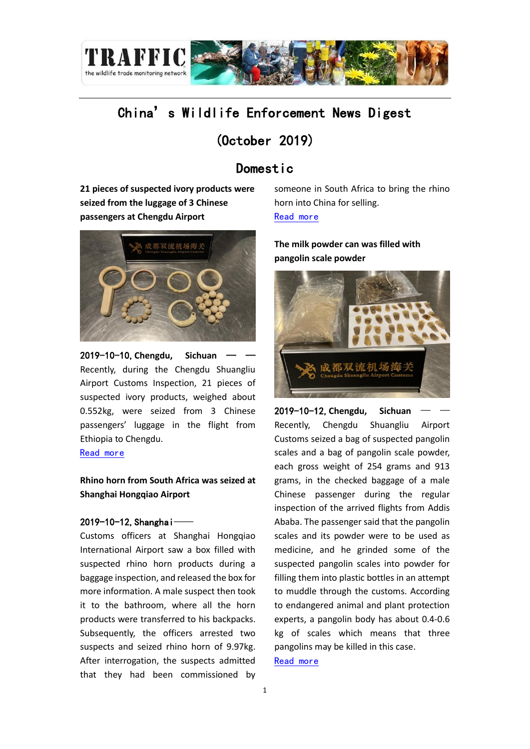

# China's Wildlife Enforcement News Digest

## (October 2019)

## Domestic

**21 pieces of suspected ivory products were seized from the luggage of 3 Chinese passengers at Chengdu Airport**



2019-10-10,**Chengdu, Sichuan** — — Recently, during the Chengdu Shuangliu Airport Customs Inspection, 21 pieces of suspected ivory products, weighed about 0.552kg, were seized from 3 Chinese passengers' luggage in the flight from Ethiopia to Chengdu.

[Read more](http://www.northnews.cn/p/1779061.html)

#### **Rhino horn from South Africa was seized at Shanghai Hongqiao Airport**

#### 2019-10-12, Shanghai-

Customs officers at Shanghai Hongqiao International Airport saw a box filled with suspected rhino horn products during a baggage inspection, and released the box for more information. A male suspect then took it to the bathroom, where all the horn products were transferred to his backpacks. Subsequently, the officers arrested two suspects and seized rhino horn of 9.97kg. After interrogation, the suspects admitted that they had been commissioned by

someone in South Africa to bring the rhino horn into China for selling. [Read more](https://newsvideo.su/video/11598572)

**The milk powder can was filled with pangolin scale powder**



2019-10-12, Chengdu, Sichuan Recently, Chengdu Shuangliu Airport Customs seized a bag of suspected pangolin scales and a bag of pangolin scale powder, each gross weight of 254 grams and 913 grams, in the checked baggage of a male Chinese passenger during the regular inspection of the arrived flights from Addis Ababa. The passenger said that the pangolin scales and its powder were to be used as medicine, and he grinded some of the suspected pangolin scales into powder for filling them into plastic bottles in an attempt to muddle through the customs. According to endangered animal and plant protection experts, a pangolin body has about 0.4-0.6 kg of scales which means that three pangolins may be killed in this case. [Read more](http://scnews.newssc.org/system/20191012/001001619.html)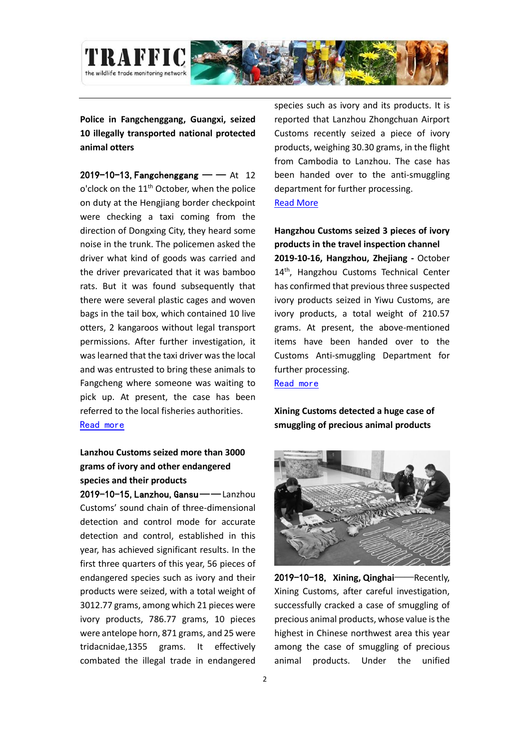

**Police in Fangchenggang, Guangxi, seized 10 illegally transported national protected animal otters**

 $2019-10-13$ , Fangchenggang — — At 12 o'clock on the 11<sup>th</sup> October, when the police on duty at the Hengjiang border checkpoint were checking a taxi coming from the direction of Dongxing City, they heard some noise in the trunk. The policemen asked the driver what kind of goods was carried and the driver prevaricated that it was bamboo rats. But it was found subsequently that there were several plastic cages and woven bags in the tail box, which contained 10 live otters, 2 kangaroos without legal transport permissions. After further investigation, it was learned that the taxi driver was the local and was entrusted to bring these animals to Fangcheng where someone was waiting to pick up. At present, the case has been referred to the local fisheries authorities. [Read more](https://finance.jrj.com.cn/2019/10/13141328238692.shtml)

### **Lanzhou Customs seized more than 3000 grams of ivory and other endangered species and their products**

2019-10-15, Lanzhou, Gansu——Lanzhou Customs' sound chain of three-dimensional detection and control mode for accurate detection and control, established in this year, has achieved significant results. In the first three quarters of this year, 56 pieces of endangered species such as ivory and their products were seized, with a total weight of 3012.77 grams, among which 21 pieces were ivory products, 786.77 grams, 10 pieces were antelope horn, 871 grams, and 25 were tridacnidae,1355 grams. It effectively combated the illegal trade in endangered species such as ivory and its products. It is reported that Lanzhou Zhongchuan Airport Customs recently seized a piece of ivory products, weighing 30.30 grams, in the flight from Cambodia to Lanzhou. The case has been handed over to the anti-smuggling department for further processing. [Read More](http://www.xinhuanet.com/local/2019-10/15/c_1125105918.htm)

**Hangzhou Customs seized 3 pieces of ivory products in the travel inspection channel 2019-10-16, Hangzhou, Zhejiang -** October 14<sup>th</sup>, Hangzhou Customs Technical Center has confirmed that previous three suspected ivory products seized in Yiwu Customs, are ivory products, a total weight of 210.57 grams. At present, the above-mentioned items have been handed over to the Customs Anti-smuggling Department for further processing. [Read more](http://www.cqn.com.cn/ms/content/2019-10/16/content_7643373.htm)

**Xining Customs detected a huge case of smuggling of precious animal products**



2019-10-18, **Xining, Qinghai**——Recently, Xining Customs, after careful investigation, successfully cracked a case of smuggling of precious animal products, whose value is the highest in Chinese northwest area this year among the case of smuggling of precious animal products. Under the unified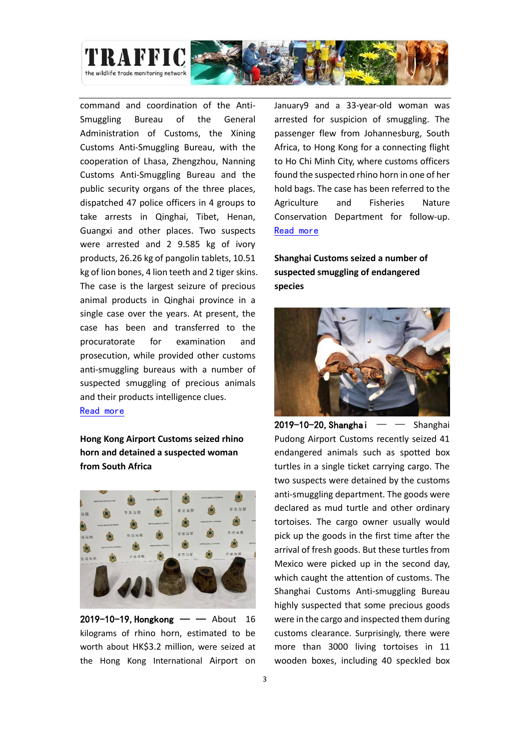

command and coordination of the Anti-Smuggling Bureau of the General Administration of Customs, the Xining Customs Anti-Smuggling Bureau, with the cooperation of Lhasa, Zhengzhou, Nanning Customs Anti-Smuggling Bureau and the public security organs of the three places, dispatched 47 police officers in 4 groups to take arrests in Qinghai, Tibet, Henan, Guangxi and other places. Two suspects were arrested and 2 9.585 kg of ivory products, 26.26 kg of pangolin tablets, 10.51 kg of lion bones, 4 lion teeth and 2 tiger skins. The case is the largest seizure of precious animal products in Qinghai province in a single case over the years. At present, the case has been and transferred to the procuratorate for examination and prosecution, while provided other customs anti-smuggling bureaus with a number of suspected smuggling of precious animals and their products intelligence clues. [Read more](http://qh.people.com.cn/n2/2019/1018/c182775-33448447.html)

**Hong Kong Airport Customs seized rhino horn and detained a suspected woman from South Africa**



 $2019 - 10 - 19$ , Hongkong — — About 16 kilograms of rhino horn, estimated to be worth about HK\$3.2 million, were seized at the Hong Kong International Airport on

January9 and a 33-year-old woman was arrested for suspicion of smuggling. The passenger flew from Johannesburg, South Africa, to Hong Kong for a connecting flight to Ho Chi Minh City, where customs officers found the suspected rhino horn in one of her hold bags. The case has been referred to the Agriculture and Fisheries Nature Conservation Department for follow-up. [Read more](https://hk.news.yahoo.com/%E6%B5%B7%E9%97%9C%E6%A9%9F%E5%A0%B4%E6%AA%A2320%E8%90%AC%E5%85%83%E7%8A%80%E7%89%9B%E8%A7%92-%E6%8B%98%E5%8D%97%E9%9D%9E%E6%8A%B5%E6%B8%AF%E5%A5%B3%E5%AE%A2-125134103.html)

**Shanghai Customs seized a number of suspected smuggling of endangered species**



2019-10-20, Shanghai  $-$  – Shanghai Pudong Airport Customs recently seized 41 endangered animals such as spotted box turtles in a single ticket carrying cargo. The two suspects were detained by the customs anti-smuggling department. The goods were declared as mud turtle and other ordinary tortoises. The cargo owner usually would pick up the goods in the first time after the arrival of fresh goods. But these turtles from Mexico were picked up in the second day, which caught the attention of customs. The Shanghai Customs Anti-smuggling Bureau highly suspected that some precious goods were in the cargo and inspected them during customs clearance. Surprisingly, there were more than 3000 living tortoises in 11 wooden boxes, including 40 speckled box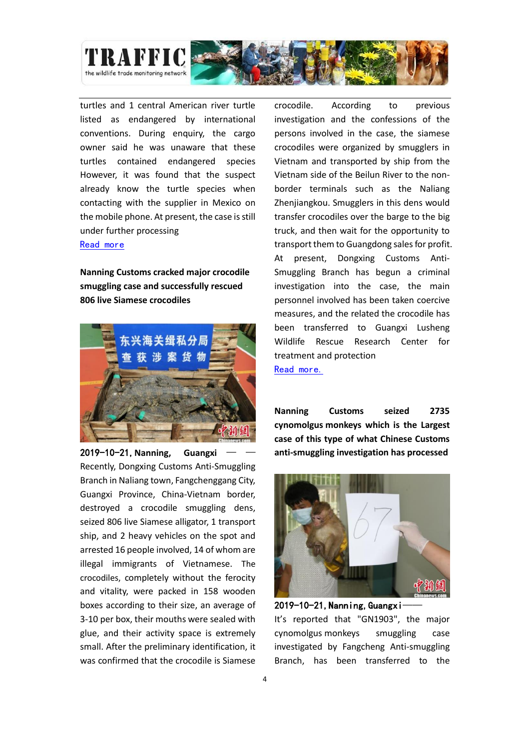

turtles and 1 central American river turtle listed as endangered by international conventions. During enquiry, the cargo owner said he was unaware that these turtles contained endangered species However, it was found that the suspect already know the turtle species when contacting with the supplier in Mexico on the mobile phone. At present, the case is still under further processing

#### [Read more](http://www.sohu.com/a/348260249_428290)

**Nanning Customs cracked major crocodile smuggling case and successfully rescued 806 live Siamese crocodiles**



2019-10-21, Nanning, Guangxi Recently, Dongxing Customs Anti-Smuggling Branch in Naliang town, Fangchenggang City, Guangxi Province, China-Vietnam border, destroyed a crocodile smuggling dens, seized 806 live Siamese alligator, 1 transport ship, and 2 heavy vehicles on the spot and arrested 16 people involved, 14 of whom are illegal immigrants of Vietnamese. The crocodiles, completely without the ferocity and vitality, were packed in 158 wooden boxes according to their size, an average of 3-10 per box, their mouths were sealed with glue, and their activity space is extremely small. After the preliminary identification, it was confirmed that the crocodile is Siamese

crocodile. According to previous investigation and the confessions of the persons involved in the case, the siamese crocodiles were organized by smugglers in Vietnam and transported by ship from the Vietnam side of the Beilun River to the nonborder terminals such as the Naliang Zhenjiangkou. Smugglers in this dens would transfer crocodiles over the barge to the big truck, and then wait for the opportunity to transport them to Guangdong sales for profit. At present, Dongxing Customs Anti-Smuggling Branch has begun a criminal investigation into the case, the main personnel involved has been taken coercive measures, and the related the crocodile has been transferred to Guangxi Lusheng Wildlife Rescue Research Center for treatment and protection [Read more.](https://news.xmnn.cn/xmnn/2019/10/21/100615199.shtml)

**Nanning Customs seized 2735 cynomolgus monkeys which is the Largest case of this type of what Chinese Customs anti-smuggling investigation has processed**



2019-10-21, Nanning, Guangxi-It's reported that "GN1903", the major cynomolgus monkeys smuggling case investigated by Fangcheng Anti-smuggling Branch, has been transferred to the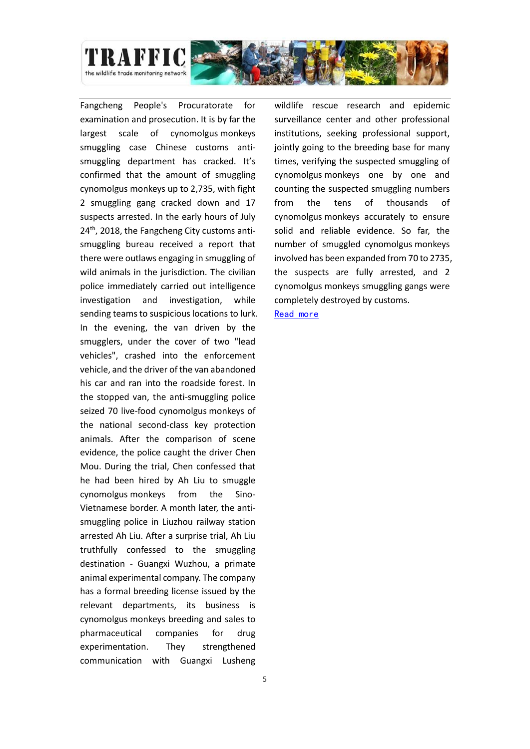

Fangcheng People's Procuratorate for examination and prosecution. It is by far the largest scale of cynomolgus monkeys smuggling case Chinese customs antismuggling department has cracked. It's confirmed that the amount of smuggling cynomolgus monkeys up to 2,735, with fight 2 smuggling gang cracked down and 17 suspects arrested. In the early hours of July 24<sup>th</sup>, 2018, the Fangcheng City customs antismuggling bureau received a report that there were outlaws engaging in smuggling of wild animals in the jurisdiction. The civilian police immediately carried out intelligence investigation and investigation, while sending teams to suspicious locations to lurk. In the evening, the van driven by the smugglers, under the cover of two "lead vehicles", crashed into the enforcement vehicle, and the driver of the van abandoned his car and ran into the roadside forest. In the stopped van, the anti-smuggling police seized 70 live-food cynomolgus monkeys of the national second-class key protection animals. After the comparison of scene evidence, the police caught the driver Chen Mou. During the trial, Chen confessed that he had been hired by Ah Liu to smuggle cynomolgus monkeys from the Sino-Vietnamese border. A month later, the antismuggling police in Liuzhou railway station arrested Ah Liu. After a surprise trial, Ah Liu truthfully confessed to the smuggling destination - Guangxi Wuzhou, a primate animal experimental company. The company has a formal breeding license issued by the relevant departments, its business is cynomolgus monkeys breeding and sales to pharmaceutical companies for drug experimentation. They strengthened communication with Guangxi Lusheng

wildlife rescue research and epidemic surveillance center and other professional institutions, seeking professional support, jointly going to the breeding base for many times, verifying the suspected smuggling of cynomolgus monkeys one by one and counting the suspected smuggling numbers from the tens of thousands of cynomolgus monkeys accurately to ensure solid and reliable evidence. So far, the number of smuggled cynomolgus monkeys involved has been expanded from 70 to 2735, the suspects are fully arrested, and 2 cynomolgus monkeys smuggling gangs were completely destroyed by customs.

[Read more](https://www.chinanews.com/sh/2019/10-21/8985052.shtml)